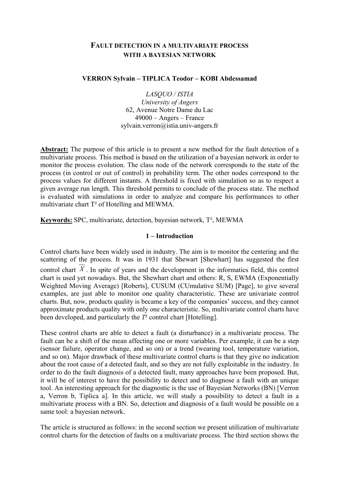# FAULT DETECTION IN A MULTIVARIATE PROCESS WITH A BAYESIAN NETWORK

### VERRON Sylvain – TIPLICA Teodor – KOBI Abdessamad

LASQUO / ISTIA University of Angers 62, Avenue Notre Dame du Lac 49000 – Angers – France sylvain.verron@istia.univ-angers.fr

Abstract: The purpose of this article is to present a new method for the fault detection of a multivariate process. This method is based on the utilization of a bayesian network in order to monitor the process evolution. The class node of the network corresponds to the state of the process (in control or out of control) in probability term. The other nodes correspond to the process values for different instants. A threshold is fixed with simulation so as to respect a given average run length. This threshold permits to conclude of the process state. The method is evaluated with simulations in order to analyze and compare his performances to other multivariate chart T² of Hotelling and MEWMA.

Keywords: SPC, multivariate, detection, bayesian network, T², MEWMA

## 1 – Introduction

Control charts have been widely used in industry. The aim is to monitor the centering and the scattering of the process. It was in 1931 that Shewart [Shewhart] has suggested the first control chart  $\overline{X}$ . In spite of years and the development in the informatics field, this control chart is used yet nowadays. But, the Shewhart chart and others: R, S, EWMA (Exponentially Weighted Moving Average) [Roberts], CUSUM (CUmulative SUM) [Page], to give several examples, are just able to monitor one quality characteristic. These are univariate control charts. But, now, products quality is became a key of the companies' success, and they cannot approximate products quality with only one characteristic. So, multivariate control charts have been developed, and particularly the  $T<sup>2</sup>$  control chart [Hotelling].

These control charts are able to detect a fault (a disturbance) in a multivariate process. The fault can be a shift of the mean affecting one or more variables. Per example, it can be a step (sensor failure, operator change, and so on) or a trend (wearing tool, temperature variation, and so on). Major drawback of these multivariate control charts is that they give no indication about the root cause of a detected fault, and so they are not fully exploitable in the industry. In order to do the fault diagnosis of a detected fault, many approaches have been proposed. But, it will be of interest to have the possibility to detect and to diagnose a fault with an unique tool. An interesting approach for the diagnostic is the use of Bayesian Networks (BN) [Verron a, Verron b, Tiplica a]. In this article, we will study a possibility to detect a fault in a multivariate process with a BN. So, detection and diagnosis of a fault would be possible on a same tool: a bayesian network.

The article is structured as follows: in the second section we present utilization of multivariate control charts for the detection of faults on a multivariate process. The third section shows the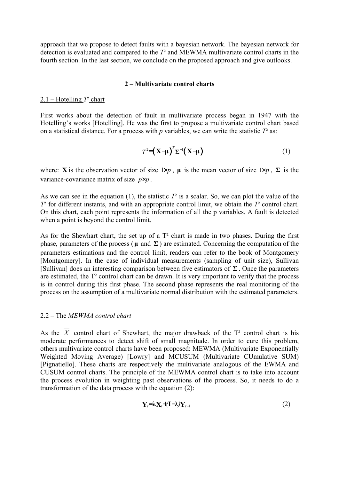approach that we propose to detect faults with a bayesian network. The bayesian network for detection is evaluated and compared to the  $T<sup>2</sup>$  and MEWMA multivariate control charts in the fourth section. In the last section, we conclude on the proposed approach and give outlooks.

#### 2 – Multivariate control charts

### 2.1 – Hotelling  $T^2$  chart

First works about the detection of fault in multivariate process began in 1947 with the Hotelling's works [Hotelling]. He was the first to propose a multivariate control chart based on a statistical distance. For a process with p variables, we can write the statistic  $T^2$  as:

$$
T^2 = \left(\mathbf{X} - \boldsymbol{\mu}\right)^T \boldsymbol{\Sigma}^{-1} \left(\mathbf{X} - \boldsymbol{\mu}\right) \tag{1}
$$

where: X is the observation vector of size  $1 \times p$ ,  $\mu$  is the mean vector of size  $1 \times p$ ,  $\Sigma$  is the variance-covariance matrix of size  $p \times p$ .

As we can see in the equation (1), the statistic  $T^2$  is a scalar. So, we can plot the value of the  $T<sup>2</sup>$  for different instants, and with an appropriate control limit, we obtain the  $T<sup>2</sup>$  control chart. On this chart, each point represents the information of all the p variables. A fault is detected when a point is beyond the control limit.

As for the Shewhart chart, the set up of a  $T<sup>2</sup>$  chart is made in two phases. During the first phase, parameters of the process ( $\mu$  and  $\Sigma$ ) are estimated. Concerning the computation of the parameters estimations and the control limit, readers can refer to the book of Montgomery [Montgomery]. In the case of individual measurements (sampling of unit size), Sullivan [Sullivan] does an interesting comparison between five estimators of  $\Sigma$ . Once the parameters are estimated, the T² control chart can be drawn. It is very important to verify that the process is in control during this first phase. The second phase represents the real monitoring of the process on the assumption of a multivariate normal distribution with the estimated parameters.

#### 2.2 – The MEWMA control chart

As the  $\overline{X}$  control chart of Shewhart, the major drawback of the T<sup>2</sup> control chart is his moderate performances to detect shift of small magnitude. In order to cure this problem, others multivariate control charts have been proposed: MEWMA (Multivariate Exponentially Weighted Moving Average) [Lowry] and MCUSUM (Multivariate CUmulative SUM) [Pignatiello]. These charts are respectively the multivariate analogous of the EWMA and CUSUM control charts. The principle of the MEWMA control chart is to take into account the process evolution in weighting past observations of the process. So, it needs to do a transformation of the data process with the equation (2):

$$
\mathbf{Y}_t = \lambda \mathbf{X}_t + (\mathbf{I} - \lambda) \mathbf{Y}_{t-1} \tag{2}
$$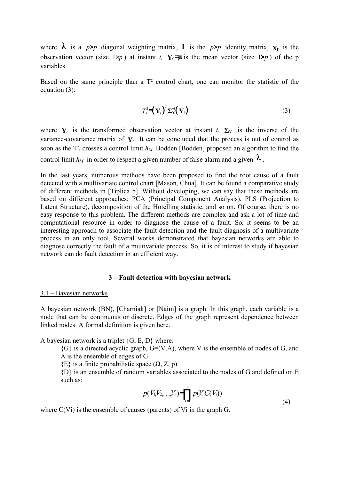where  $\lambda$  is a  $p \times p$  diagonal weighting matrix, **I** is the  $p \times p$  identity matrix,  $x_t$  is the observation vector (size  $1 \times p$ ) at instant t, Y<sub>0</sub>=µ is the mean vector (size  $1 \times p$ ) of the p variables.

Based on the same principle than a T² control chart, one can monitor the statistic of the equation (3):

$$
T_t^2 = \left(\mathbf{Y}_t\right)^T \mathbf{\Sigma}_{\mathbf{Y}}^{-1} \left(\mathbf{Y}_t\right) \tag{3}
$$

where  $Y_t$  is the transformed observation vector at instant t,  $\Sigma_Y^{-1}$  is the inverse of the variance-covariance matrix of  $Y_t$ . It can be concluded that the process is out of control as soon as the  $T_t^2$  crosses a control limit  $h_M$ . Bodden [Bodden] proposed an algorithm to find the

control limit  $h_M$  in order to respect a given number of false alarm and a given  $\lambda$ .

In the last years, numerous methods have been proposed to find the root cause of a fault detected with a multivariate control chart [Mason, Chua]. It can be found a comparative study of different methods in [Tiplica b]. Without developing, we can say that these methods are based on different approaches: PCA (Principal Component Analysis), PLS (Projection to Latent Structure), decomposition of the Hotelling statistic, and so on. Of course, there is no easy response to this problem. The different methods are complex and ask a lot of time and computational resource in order to diagnose the cause of a fault. So, it seems to be an interesting approach to associate the fault detection and the fault diagnosis of a multivariate process in an only tool. Several works demonstrated that bayesian networks are able to diagnose correctly the fault of a multivariate process. So, it is of interest to study if bayesian network can do fault detection in an efficient way.

#### 3 – Fault detection with bayesian network

#### 3.1 – Bayesian networks

A bayesian network (BN), [Charniak] or [Naim] is a graph. In this graph, each variable is a node that can be continuous or discrete. Edges of the graph represent dependence between linked nodes. A formal definition is given here.

A bayesian network is a triplet  $\{G, E, D\}$  where:

 ${G}$  is a directed acyclic graph,  $G=(V,A)$ , where V is the ensemble of nodes of G, and A is the ensemble of edges of G

 ${E}$  is a finite probabilistic space  $(\Omega, Z, p)$ 

{D} is an ensemble of random variables associated to the nodes of G and defined on E such as:

$$
p(V_1,V_2,...,V_n) = \prod_{i=1}^n p(V_i|C(V_i))
$$
\n(4)

where C(Vi) is the ensemble of causes (parents) of Vi in the graph G.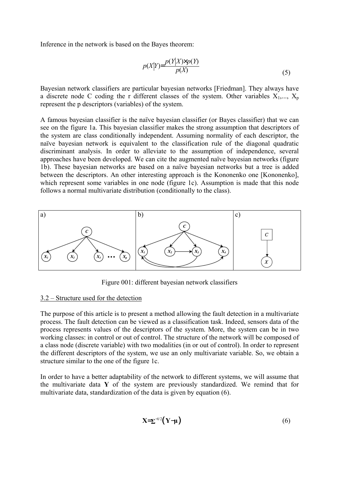Inference in the network is based on the Bayes theorem:

$$
p(X|Y) = \frac{p(Y|X) \times p(Y)}{p(X)}
$$
\n<sup>(5)</sup>

Bayesian network classifiers are particular bayesian networks [Friedman]. They always have a discrete node C coding the r different classes of the system. Other variables  $X_1, ..., X_p$ represent the p descriptors (variables) of the system.

A famous bayesian classifier is the naïve bayesian classifier (or Bayes classifier) that we can see on the figure 1a. This bayesian classifier makes the strong assumption that descriptors of the system are class conditionally independent. Assuming normality of each descriptor, the naïve bayesian network is equivalent to the classification rule of the diagonal quadratic discriminant analysis. In order to alleviate to the assumption of independence, several approaches have been developed. We can cite the augmented naïve bayesian networks (figure 1b). These bayesian networks are based on a naïve bayesian networks but a tree is added between the descriptors. An other interesting approach is the Kononenko one [Kononenko], which represent some variables in one node (figure 1c). Assumption is made that this node follows a normal multivariate distribution (conditionally to the class).



Figure 001: different bayesian network classifiers

# 3.2 – Structure used for the detection

The purpose of this article is to present a method allowing the fault detection in a multivariate process. The fault detection can be viewed as a classification task. Indeed, sensors data of the process represents values of the descriptors of the system. More, the system can be in two working classes: in control or out of control. The structure of the network will be composed of a class node (discrete variable) with two modalities (in or out of control). In order to represent the different descriptors of the system, we use an only multivariate variable. So, we obtain a structure similar to the one of the figure 1c.

In order to have a better adaptability of the network to different systems, we will assume that the multivariate data Y of the system are previously standardized. We remind that for multivariate data, standardization of the data is given by equation (6).

$$
X = \sum^{-1/2} \left( Y - \mu \right) \tag{6}
$$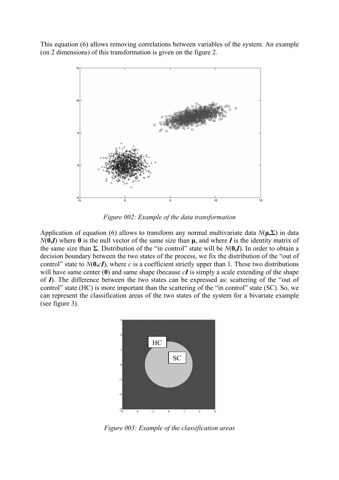This equation (6) allows removing correlations between variables of the system. An example (on 2 dimensions) of this transformation is given on the figure 2.



Figure 002: Example of the data transformation

Application of equation (6) allows to transform any normal multivariate data  $N(\mu, \Sigma)$  in data  $N(0,I)$  where 0 is the null vector of the same size than  $\mu$ , and where I is the identity matrix of the same size than  $\Sigma$ . Distribution of the "in control" state will be  $N(0, I)$ . In order to obtain a decision boundary between the two states of the process, we fix the distribution of the "out of control" state to  $N(0, cI)$ , where c is a coefficient strictly upper than 1. These two distributions will have same center  $(0)$  and same shape (because  $cI$  is simply a scale extending of the shape of  $I$ ). The difference between the two states can be expressed as: scattering of the "out of control" state (HC) is more important than the scattering of the "in control" state (SC). So, we can represent the classification areas of the two states of the system for a bivariate example (see figure 3).



Figure 003: Example of the classification areas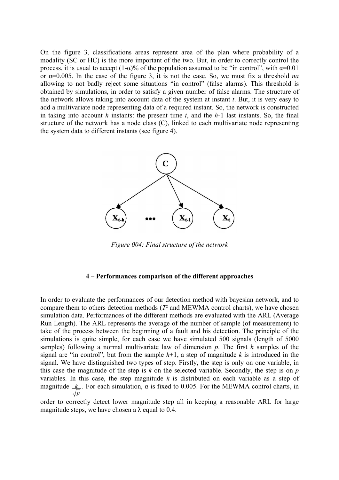On the figure 3, classifications areas represent area of the plan where probability of a modality (SC or HC) is the more important of the two. But, in order to correctly control the process, it is usual to accept  $(1-\alpha)$ % of the population assumed to be "in control", with  $\alpha$ =0.01 or  $\alpha$ =0.005. In the case of the figure 3, it is not the case. So, we must fix a threshold *na* allowing to not badly reject some situations "in control" (false alarms). This threshold is obtained by simulations, in order to satisfy a given number of false alarms. The structure of the network allows taking into account data of the system at instant  $t$ . But, it is very easy to add a multivariate node representing data of a required instant. So, the network is constructed in taking into account h instants: the present time t, and the  $h-1$  last instants. So, the final structure of the network has a node class (C), linked to each multivariate node representing the system data to different instants (see figure 4).



Figure 004: Final structure of the network

#### 4 – Performances comparison of the different approaches

In order to evaluate the performances of our detection method with bayesian network, and to compare them to others detection methods  $(T<sup>2</sup>$  and MEWMA control charts), we have chosen simulation data. Performances of the different methods are evaluated with the ARL (Average Run Length). The ARL represents the average of the number of sample (of measurement) to take of the process between the beginning of a fault and his detection. The principle of the simulations is quite simple, for each case we have simulated 500 signals (length of 5000 samples) following a normal multivariate law of dimension  $p$ . The first  $h$  samples of the signal are "in control", but from the sample  $h+1$ , a step of magnitude k is introduced in the signal. We have distinguished two types of step. Firstly, the step is only on one variable, in this case the magnitude of the step is  $k$  on the selected variable. Secondly, the step is on  $p$ variables. In this case, the step magnitude  $k$  is distributed on each variable as a step of magnitude p  $k$  . For each simulation,  $\alpha$  is fixed to 0.005. For the MEWMA control charts, in

order to correctly detect lower magnitude step all in keeping a reasonable ARL for large magnitude steps, we have chosen a  $\lambda$  equal to 0.4.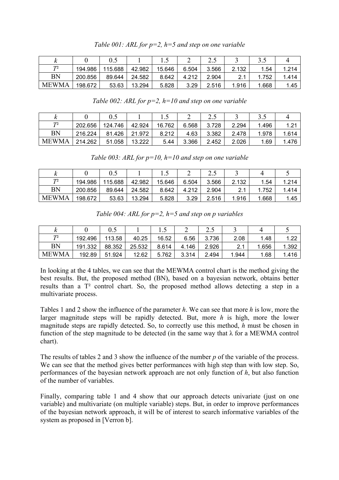|              |         |         |        |        |       | ن . پ |       | ل. ر  |       |
|--------------|---------|---------|--------|--------|-------|-------|-------|-------|-------|
| T2           | 194.986 | 115.688 | 42.982 | 15.646 | 6.504 | 3.566 | 2.132 | .54   | 1.214 |
| <b>BN</b>    | 200.856 | 89.644  | 24.582 | 8.642  | 4.212 | 2.904 |       | .752  | 1.414 |
| <b>MEWMA</b> | 198.672 | 53.63   | 13.294 | 5.828  | 3.29  | 2.516 | 1.916 | 1.668 | 1.45  |

Table 002: ARL for  $p=2$ ,  $h=10$  and step on one variable

| $\mathbf{v}$   |         |         |        |        |       | ر. پ  |       | ر. ر  |       |
|----------------|---------|---------|--------|--------|-------|-------|-------|-------|-------|
| T <sup>2</sup> | 202.656 | 124.746 | 42.924 | 16.762 | 6.568 | 3.728 | 2.294 | 1.496 | 1.21  |
| <b>BN</b>      | 216.224 | 81.426  | 21.972 | 8.212  | 4.63  | 3.382 | 2.478 | 1.978 | 1.614 |
| <b>MEWMA</b>   | 214.262 | 51.058  | 13.222 | 5.44   | 3.366 | 2.452 | 2.026 | .69   | 1.476 |

Table 003: ARL for  $p=10$ ,  $h=10$  and step on one variable

|              |         |         |        | ن. 1   | ∼     | ر. پ  |       |       |       |
|--------------|---------|---------|--------|--------|-------|-------|-------|-------|-------|
| T2           | 194.986 | 115.688 | 42.982 | 15.646 | 6.504 | 3.566 | 2.132 | .54   | 1.214 |
| <b>BN</b>    | 200.856 | 89.644  | 24.582 | 8.642  | 4.212 | 2.904 | 21    | 1.752 | 1.414 |
| <b>MEWMA</b> | 198.672 | 53.63   | 13.294 | 5.828  | 3.29  | 2.516 | 1.916 | 1.668 | 1.45  |

Table 004: ARL for  $p=2$ ,  $h=5$  and step on p variables

|                |         | ∪.J    |        | ن     |       | ن . پ |            |       |          |
|----------------|---------|--------|--------|-------|-------|-------|------------|-------|----------|
| T <sup>2</sup> | 192.496 | 113.58 | 40.25  | 16.52 | 6.56  | 3.736 | 2.08       | .48   | 1 ר<br>. |
| <b>BN</b>      | 191.332 | 88.352 | 25.532 | 8.614 | 4.146 | 2.926 | 21<br>2. I | 1.656 | 1.392    |
| <b>MEWMA</b>   | 192.89  | 51.924 | 12.62  | 5.762 | 3.314 | 2.494 | 1.944      | .68   | 1.416    |

In looking at the 4 tables, we can see that the MEWMA control chart is the method giving the best results. But, the proposed method (BN), based on a bayesian network, obtains better results than a T² control chart. So, the proposed method allows detecting a step in a multivariate process.

Tables 1 and 2 show the influence of the parameter h. We can see that more h is low, more the larger magnitude steps will be rapidly detected. But, more  $h$  is high, more the lower magnitude steps are rapidly detected. So, to correctly use this method,  $h$  must be chosen in function of the step magnitude to be detected (in the same way that  $\lambda$  for a MEWMA control chart).

The results of tables 2 and 3 show the influence of the number p of the variable of the process. We can see that the method gives better performances with high step than with low step. So, performances of the bayesian network approach are not only function of  $h$ , but also function of the number of variables.

Finally, comparing table 1 and 4 show that our approach detects univariate (just on one variable) and multivariate (on multiple variable) steps. But, in order to improve performances of the bayesian network approach, it will be of interest to search informative variables of the system as proposed in [Verron b].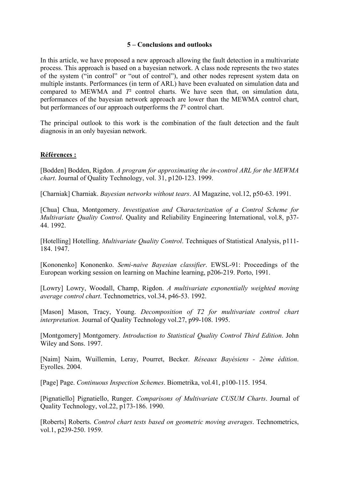# 5 – Conclusions and outlooks

In this article, we have proposed a new approach allowing the fault detection in a multivariate process. This approach is based on a bayesian network. A class node represents the two states of the system ("in control" or "out of control"), and other nodes represent system data on multiple instants. Performances (in term of ARL) have been evaluated on simulation data and compared to MEWMA and  $T<sup>2</sup>$  control charts. We have seen that, on simulation data, performances of the bayesian network approach are lower than the MEWMA control chart, but performances of our approach outperforms the  $T<sup>2</sup>$  control chart.

The principal outlook to this work is the combination of the fault detection and the fault diagnosis in an only bayesian network.

## Références :

[Bodden] Bodden, Rigdon. A program for approximating the in-control ARL for the MEWMA chart. Journal of Quality Technology, vol. 31, p120-123. 1999.

[Charniak] Charniak. Bayesian networks without tears. AI Magazine, vol.12, p50-63. 1991.

[Chua] Chua, Montgomery. Investigation and Characterization of a Control Scheme for Multivariate *Quality Control*. Quality and Reliability Engineering International, vol.8, p37-44. 1992.

[Hotelling] Hotelling. *Multivariate Ouality Control*. Techniques of Statistical Analysis, p111-184. 1947.

[Kononenko] Kononenko. Semi-naive Bayesian classifier. EWSL-91: Proceedings of the European working session on learning on Machine learning, p206-219. Porto, 1991.

[Lowry] Lowry, Woodall, Champ, Rigdon. A multivariate exponentially weighted moving average control chart. Technometrics, vol.34, p46-53. 1992.

[Mason] Mason, Tracy, Young. Decomposition of T2 for multivariate control chart interpretation. Journal of Quality Technology vol.27, p99-108. 1995.

[Montgomery] Montgomery. Introduction to Statistical Quality Control Third Edition. John Wiley and Sons. 1997.

[Naim] Naim, Wuillemin, Leray, Pourret, Becker. Réseaux Bayésiens - 2ème édition. Eyrolles. 2004.

[Page] Page. Continuous Inspection Schemes. Biometrika, vol.41, p100-115. 1954.

[Pignatiello] Pignatiello, Runger. Comparisons of Multivariate CUSUM Charts. Journal of Quality Technology, vol.22, p173-186. 1990.

[Roberts] Roberts. Control chart tests based on geometric moving averages. Technometrics, vol.1, p239-250. 1959.